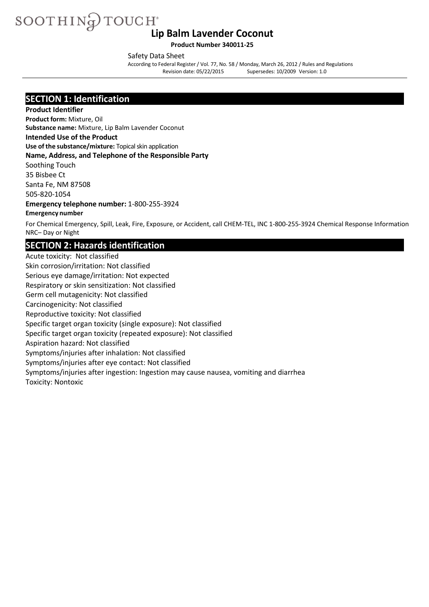**Product Number 340011-25**

Safety Data Sheet

According to Federal Register/ Vol. 77, No. 58 / Monday, March 26, 2012 / Rules and Regulations Supersedes: 10/2009 Version: 1.0

### **SECTION 1: Identification**

**Product Identifier Product form:** Mixture, Oil **Substance name:** Mixture, Lip Balm Lavender Coconut **Intended Use of the Product Use of the substance/mixture:** Topical skin application **Name, Address, and Telephone of the Responsible Party** Soothing Touch 35 Bisbee Ct Santa Fe, NM 87508 505-820-1054 **Emergency telephone number:** 1-800-255-3924 **Emergency number**

For Chemical Emergency, Spill, Leak, Fire, Exposure, or Accident, call CHEM-TEL, INC 1-800-255-3924 Chemical Response Information NRC– Day or Night

### **SECTION 2: Hazards identification**

Acute toxicity: Not classified Skin corrosion/irritation: Not classified Serious eye damage/irritation: Not expected Respiratory or skin sensitization: Not classified Germ cell mutagenicity: Not classified Carcinogenicity: Not classified Reproductive toxicity: Not classified Specific target organ toxicity (single exposure): Not classified Specific target organ toxicity (repeated exposure): Not classified Aspiration hazard: Not classified Symptoms/injuries after inhalation: Not classified Symptoms/injuries after eye contact: Not classified Symptoms/injuries after ingestion: Ingestion may cause nausea, vomiting and diarrhea Toxicity: Nontoxic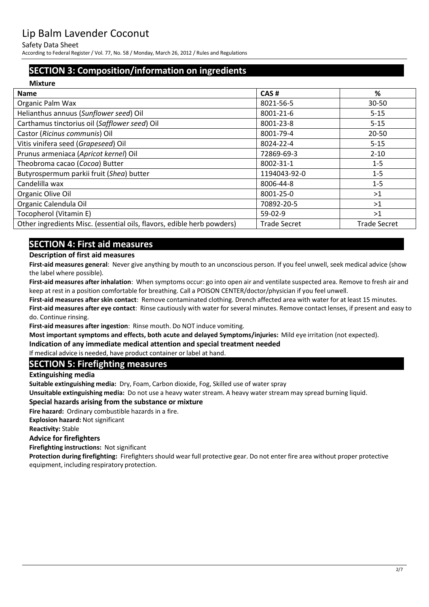#### Safety Data Sheet

According to Federal Register/ Vol. 77, No. 58 / Monday, March 26, 2012 / Rules and Regulations

# **SECTION 3: Composition/information on ingredients**

| <b>Mixture</b>                                                         |                     |                     |
|------------------------------------------------------------------------|---------------------|---------------------|
| <b>Name</b>                                                            | CAS#                | %                   |
| Organic Palm Wax                                                       | 8021-56-5           | $30 - 50$           |
| Helianthus annuus (Sunflower seed) Oil                                 | 8001-21-6           | $5 - 15$            |
| Carthamus tinctorius oil (Safflower seed) Oil                          | 8001-23-8           | $5 - 15$            |
| Castor (Ricinus communis) Oil                                          | 8001-79-4           | $20 - 50$           |
| Vitis vinifera seed (Grapeseed) Oil                                    | 8024-22-4           | $5 - 15$            |
| Prunus armeniaca (Apricot kernel) Oil                                  | 72869-69-3          | $2 - 10$            |
| Theobroma cacao (Cocoa) Butter                                         | 8002-31-1           | $1 - 5$             |
| Butyrospermum parkii fruit (Shea) butter                               | 1194043-92-0        | $1 - 5$             |
| Candelilla wax                                                         | 8006-44-8           | $1 - 5$             |
| Organic Olive Oil                                                      | 8001-25-0           | >1                  |
| Organic Calendula Oil                                                  | 70892-20-5          | >1                  |
| Tocopherol (Vitamin E)                                                 | $59-02-9$           | >1                  |
| Other ingredients Misc. (essential oils, flavors, edible herb powders) | <b>Trade Secret</b> | <b>Trade Secret</b> |

# **SECTION 4: First aid measures**

#### **Description of first aid measures**

**First-aid measures general**: Never give anything by mouth to an unconscious person. If you feel unwell, seek medical advice (show the label where possible).

**First-aid measures after inhalation**: When symptoms occur: go into open air and ventilate suspected area. Remove to fresh air and keep at rest in a position comfortable for breathing. Call a POISON CENTER/doctor/physician if you feel unwell.

**First-aid measures after skin contact**: Remove contaminated clothing. Drench affected area with water for at least 15 minutes. **First-aid measures after eye contact**: Rinse cautiously with water for several minutes. Remove contact lenses, if present and easy to do. Continue rinsing.

**First-aid measures after ingestion**: Rinse mouth. Do NOT induce vomiting.

**Most important symptoms and effects, both acute and delayed Symptoms/injuries:** Mild eye irritation (not expected).

**Indication of any immediate medical attention and special treatment needed** 

If medical advice is needed, have product container or label at hand.

### **SECTION 5: Firefighting measures**

**Extinguishing media**

**Suitable extinguishing media:** Dry, Foam, Carbon dioxide, Fog, Skilled use of water spray

**Unsuitable extinguishing media:** Do not use a heavy water stream. A heavy water stream may spread burning liquid.

#### **Special hazards arising from the substance or mixture**

**Fire hazard:** Ordinary combustible hazards in a fire.

**Explosion hazard:** Not significant

**Reactivity:** Stable

#### **Advice for firefighters**

**Firefighting instructions:** Not significant

**Protection during firefighting:** Firefighters should wear full protective gear. Do not enter fire area without proper protective equipment, including respiratory protection.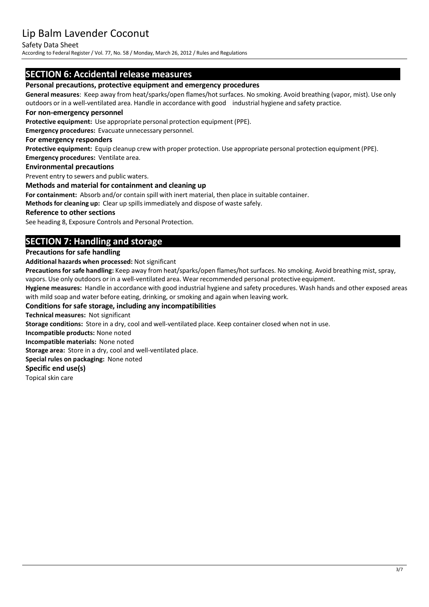#### Safety Data Sheet

According to Federal Register/ Vol. 77, No. 58 / Monday, March 26, 2012 / Rules and Regulations

### **SECTION 6: Accidental release measures**

#### **Personal precautions, protective equipment and emergency procedures**

**General measures**: Keep away from heat/sparks/open flames/hot surfaces. No smoking. Avoid breathing (vapor, mist). Use only outdoors or in a well-ventilated area. Handle in accordance with good industrial hygiene and safety practice.

#### **For non-emergency personnel**

**Protective equipment:** Use appropriate personal protection equipment (PPE).

**Emergency procedures:** Evacuate unnecessary personnel.

#### **For emergency responders**

**Protective equipment:** Equip cleanup crew with proper protection. Use appropriate personal protection equipment (PPE). **Emergency procedures:** Ventilate area.

### **Environmental precautions**

Prevent entry to sewers and public waters.

#### **Methods and material for containment and cleaning up**

**For containment:** Absorb and/or contain spill with inert material, then place in suitable container.

**Methods for cleaning up:** Clear up spillsimmediately and dispose of waste safely.

#### **Reference to other sections**

See heading 8, Exposure Controls and Personal Protection.

### **SECTION 7: Handling and storage**

#### **Precautions for safe handling**

**Additional hazards when processed:** Not significant

Precautions for safe handling: Keep away from heat/sparks/open flames/hot surfaces. No smoking. Avoid breathing mist, spray, vapors. Use only outdoors or in a well-ventilated area. Wear recommended personal protective equipment.

**Hygiene measures:** Handle in accordance with good industrial hygiene and safety procedures. Wash hands and other exposed areas with mild soap and water before eating, drinking, or smoking and again when leaving work.

#### **Conditions for safe storage, including any incompatibilities**

**Technical measures:** Not significant

**Storage conditions:** Store in a dry, cool and well-ventilated place. Keep container closed when not in use.

**Incompatible products:** None noted

**Incompatible materials:** None noted

**Storage area:** Store in a dry, cool and well-ventilated place.

**Special rules on packaging:** None noted

#### **Specific end use(s)**

Topical skin care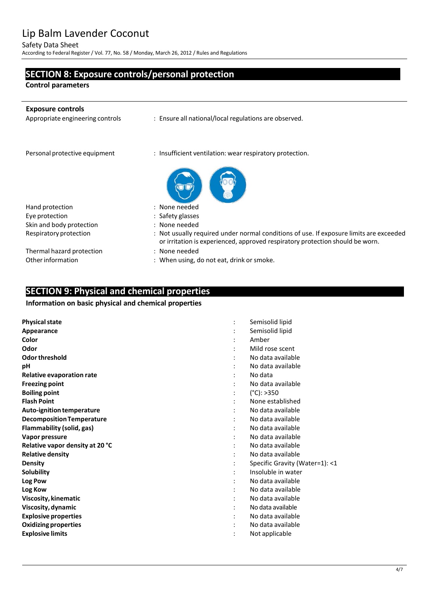#### Safety Data Sheet

According to Federal Register/ Vol. 77, No. 58 / Monday, March 26, 2012 / Rules and Regulations

# **SECTION 8: Exposure controls/personal protection**

**Control parameters**

j.

| <b>Exposure controls</b><br>Appropriate engineering controls | : Ensure all national/local regulations are observed.                                                                                                                   |
|--------------------------------------------------------------|-------------------------------------------------------------------------------------------------------------------------------------------------------------------------|
| Personal protective equipment                                | : Insufficient ventilation: wear respiratory protection.                                                                                                                |
|                                                              |                                                                                                                                                                         |
| Hand protection                                              | : None needed                                                                                                                                                           |
| Eye protection                                               | : Safety glasses                                                                                                                                                        |
| Skin and body protection                                     | : None needed                                                                                                                                                           |
| Respiratory protection                                       | : Not usually required under normal conditions of use. If exposure limits are exceeded<br>or irritation is experienced, approved respiratory protection should be worn. |
| Thermal hazard protection                                    | : None needed                                                                                                                                                           |
| Other information                                            | : When using, do not eat, drink or smoke.                                                                                                                               |

# **SECTION 9: Physical and chemical properties**

#### **Information on basic physical and chemical properties**

| <b>Physical state</b>            | Semisolid lipid                |
|----------------------------------|--------------------------------|
| Appearance                       | Semisolid lipid                |
| Color                            | Amber                          |
| Odor                             | Mild rose scent                |
| Odor threshold                   | No data available              |
| pH                               | No data available              |
| Relative evaporation rate        | No data                        |
| <b>Freezing point</b>            | No data available              |
| <b>Boiling point</b>             | $(^{\circ}C):>350$             |
| <b>Flash Point</b>               | None established               |
| Auto-ignition temperature        | No data available              |
| <b>Decomposition Temperature</b> | No data available              |
| Flammability (solid, gas)        | No data available              |
| Vapor pressure                   | No data available              |
| Relative vapor density at 20 °C  | No data available              |
| <b>Relative density</b>          | No data available              |
| <b>Density</b>                   | Specific Gravity (Water=1): <1 |
| Solubility                       | Insoluble in water             |
| Log Pow                          | No data available              |
| Log Kow                          | No data available              |
| Viscosity, kinematic             | No data available              |
| Viscosity, dynamic               | No data available              |
| <b>Explosive properties</b>      | No data available              |
| <b>Oxidizing properties</b>      | No data available              |
| <b>Explosive limits</b>          | Not applicable                 |
|                                  |                                |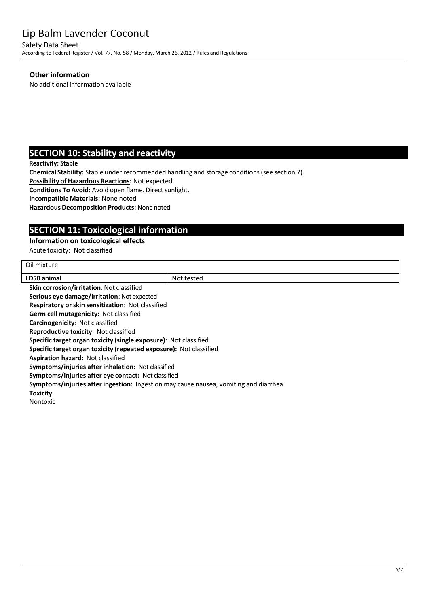Safety Data Sheet According to Federal Register/ Vol. 77, No. 58 / Monday, March 26, 2012 / Rules and Regulations

#### **Other information**

No additional information available

## **SECTION 10: Stability and reactivity**

**Reactivity: Stable**

**Chemical Stability:** Stable under recommended handling and storage conditions(see section 7).

**Possibility of Hazardous Reactions:** Not expected

**Conditions To Avoid:** Avoid open flame. Direct sunlight.

**IncompatibleMaterials:** None noted

**Hazardous Decomposition Products:** None noted

# **SECTION 11: Toxicological information**

#### **Information on toxicological effects**

Acute toxicity: Not classified

| Oil mixture                                                                          |            |  |  |
|--------------------------------------------------------------------------------------|------------|--|--|
| LD50 animal                                                                          | Not tested |  |  |
| <b>Skin corrosion/irritation: Not classified</b>                                     |            |  |  |
| Serious eye damage/irritation: Not expected                                          |            |  |  |
| <b>Respiratory or skin sensitization: Not classified</b>                             |            |  |  |
| Germ cell mutagenicity: Not classified                                               |            |  |  |
| Carcinogenicity: Not classified                                                      |            |  |  |
| <b>Reproductive toxicity: Not classified</b>                                         |            |  |  |
| <b>Specific target organ toxicity (single exposure):</b> Not classified              |            |  |  |
| Specific target organ toxicity (repeated exposure): Not classified                   |            |  |  |
| Aspiration hazard: Not classified                                                    |            |  |  |
| Symptoms/injuries after inhalation: Not classified                                   |            |  |  |
| Symptoms/injuries after eye contact: Not classified                                  |            |  |  |
| Symptoms/injuries after ingestion: Ingestion may cause nausea, vomiting and diarrhea |            |  |  |
| <b>Toxicity</b>                                                                      |            |  |  |
| <b>Nontoxic</b>                                                                      |            |  |  |
|                                                                                      |            |  |  |
|                                                                                      |            |  |  |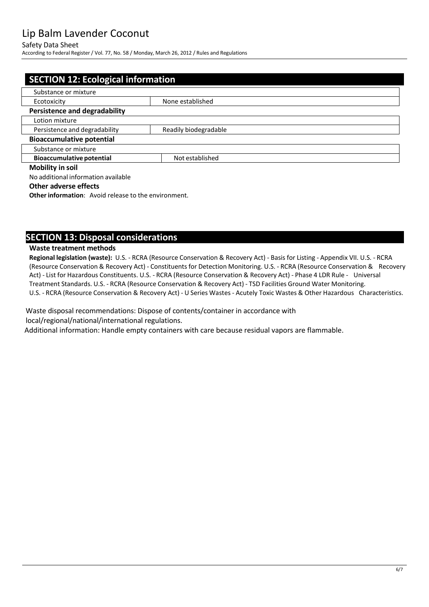#### Safety Data Sheet

According to Federal Register/ Vol. 77, No. 58 / Monday, March 26, 2012 / Rules and Regulations

| <b>SECTION 12: Ecological information</b>              |                 |  |  |
|--------------------------------------------------------|-----------------|--|--|
| Substance or mixture                                   |                 |  |  |
| None established<br>Ecotoxicity                        |                 |  |  |
| <b>Persistence and degradability</b>                   |                 |  |  |
| Lotion mixture                                         |                 |  |  |
| Persistence and degradability<br>Readily biodegradable |                 |  |  |
| <b>Bioaccumulative potential</b>                       |                 |  |  |
| Substance or mixture                                   |                 |  |  |
| <b>Bioaccumulative potential</b>                       | Not established |  |  |
| <b>Mobility in soil</b>                                |                 |  |  |
| No additional information available                    |                 |  |  |

#### **Other adverse effects**

**Other information:** Avoid release to the environment.

### **SECTION 13: Disposal considerations**

#### **Waste treatment methods**

**Regional legislation (waste):** U.S. - RCRA (Resource Conservation & Recovery Act) - Basis for Listing - Appendix VII. U.S. - RCRA (Resource Conservation & Recovery Act) - Constituentsfor Detection Monitoring. U.S. - RCRA (Resource Conservation & Recovery Act) - List for Hazardous Constituents. U.S. - RCRA (Resource Conservation & Recovery Act) - Phase 4 LDR Rule - Universal Treatment Standards. U.S. - RCRA (Resource Conservation & Recovery Act) - TSD Facilities Ground Water Monitoring. U.S. - RCRA (Resource Conservation & Recovery Act) - U Series Wastes - Acutely Toxic Wastes & Other Hazardous Characteristics.

Waste disposal recommendations: Dispose of contents/container in accordance with local/regional/national/international regulations.

Additional information: Handle empty containers with care because residual vapors are flammable.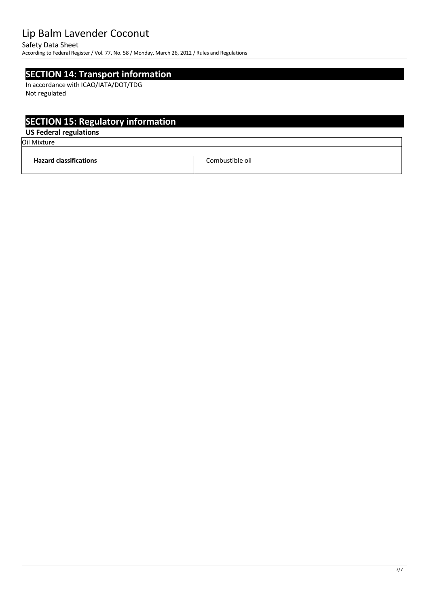#### Safety Data Sheet

According to Federal Register/ Vol. 77, No. 58 / Monday, March 26, 2012 / Rules and Regulations

### **SECTION 14: Transport information**

In accordance with ICAO/IATA/DOT/TDG Not regulated

# **SECTION 15: Regulatory information**

### **US Federal regulations**

Oil Mixture

| <b>Hazard classifications</b> | Combustible oil. |
|-------------------------------|------------------|
|                               |                  |